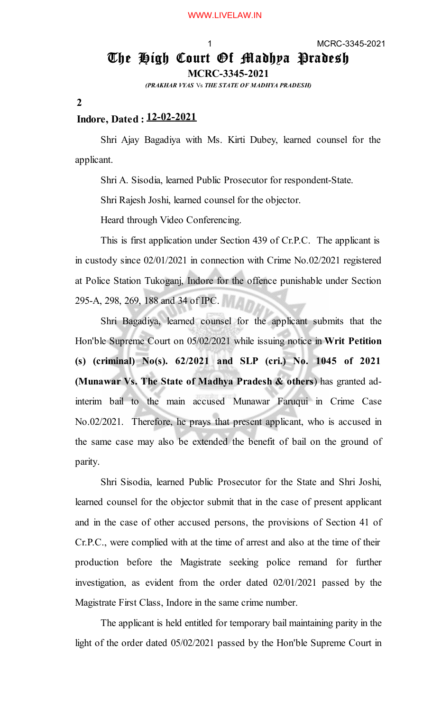## The High Court Of Madhya Pradesh

**MCRC-3345-2021**

*(PRAKHAR VYAS* Vs *THE STATE OF MADHYA PRADESH)*

**2**

## **Indore, Dated : 12-02-2021**

Shri Ajay Bagadiya with Ms. Kirti Dubey, learned counsel for the applicant.

Shri A. Sisodia, learned Public Prosecutor for respondent-State.

Shri Rajesh Joshi, learned counsel for the objector.

Heard through Video Conferencing.

This is first application under Section 439 of Cr.P.C. The applicant is in custody since 02/01/2021 in connection with Crime No.02/2021 registered at Police Station Tukoganj, Indore for the offence punishable under Section 295-A, 298, 269, 188 and 34 of IPC.

Shri Bagadiya, learned counsel for the applicant submits that the Hon'ble Supreme Court on 05/02/2021 while issuing notice in **Writ Petition (s) (criminal) No(s). 62/2021 and SLP (cri.) No. 1045 of 2021 (Munawar Vs. The State of Madhya Pradesh & others**) has granted adinterim bail to the main accused Munawar Faruqui in Crime Case No.02/2021. Therefore, he prays that present applicant, who is accused in the same case may also be extended the benefit of bail on the ground of parity.

Shri Sisodia, learned Public Prosecutor for the State and Shri Joshi, learned counsel for the objector submit that in the case of present applicant and in the case of other accused persons, the provisions of Section 41 of Cr.P.C., were complied with at the time of arrest and also at the time of their production before the Magistrate seeking police remand for further investigation, as evident from the order dated 02/01/2021 passed by the Magistrate First Class, Indore in the same crime number.

The applicant is held entitled for temporary bail maintaining parity in the light of the order dated 05/02/2021 passed by the Hon'ble Supreme Court in